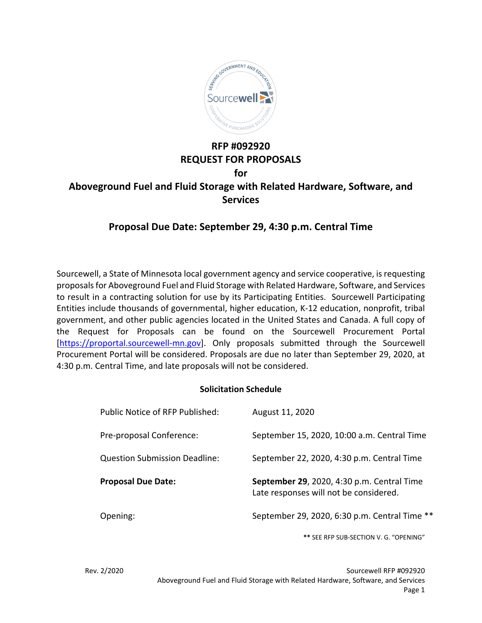

# **RFP #092920 REQUEST FOR PROPOSALS for Aboveground Fuel and Fluid Storage with Related Hardware, Software, and Services**

## **Proposal Due Date: September 29, 4:30 p.m. Central Time**

Sourcewell, a State of Minnesota local government agency and service cooperative, is requesting proposals for Aboveground Fuel and Fluid Storage with Related Hardware, Software, and Services to result in a contracting solution for use by its Participating Entities. Sourcewell Participating Entities include thousands of governmental, higher education, K‐12 education, nonprofit, tribal government, and other public agencies located in the United States and Canada. A full copy of the Request for Proposals can be found on the Sourcewell Procurement Portal [https://proportal.sourcewell-mn.gov]. Only proposals submitted through the Sourcewell Procurement Portal will be considered. Proposals are due no later than September 29, 2020, at 4:30 p.m. Central Time, and late proposals will not be considered.

## **Solicitation Schedule**

| Public Notice of RFP Published:      | August 11, 2020                                                                      |
|--------------------------------------|--------------------------------------------------------------------------------------|
| Pre-proposal Conference:             | September 15, 2020, 10:00 a.m. Central Time                                          |
| <b>Question Submission Deadline:</b> | September 22, 2020, 4:30 p.m. Central Time                                           |
|                                      |                                                                                      |
| <b>Proposal Due Date:</b>            | September 29, 2020, 4:30 p.m. Central Time<br>Late responses will not be considered. |

**\*\*** SEE RFP SUB‐SECTION V. G. "OPENING"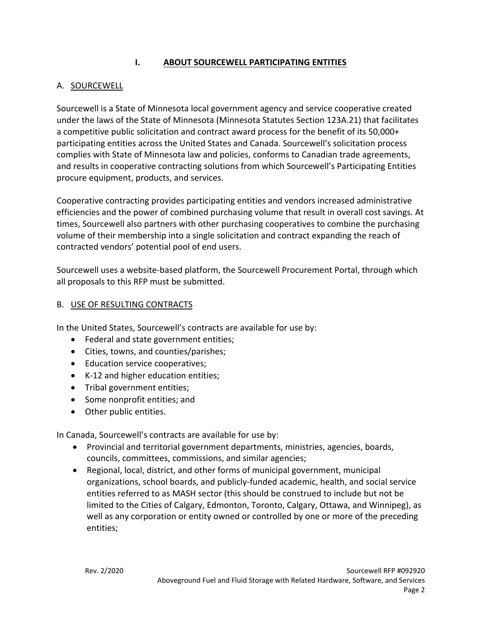## **I. ABOUT SOURCEWELL PARTICIPATING ENTITIES**

## A. SOURCEWELL

Sourcewell is a State of Minnesota local government agency and service cooperative created under the laws of the State of Minnesota (Minnesota Statutes Section 123A.21) that facilitates a competitive public solicitation and contract award process for the benefit of its 50,000+ participating entities across the United States and Canada. Sourcewell's solicitation process complies with State of Minnesota law and policies, conforms to Canadian trade agreements, and results in cooperative contracting solutions from which Sourcewell's Participating Entities procure equipment, products, and services.

Cooperative contracting provides participating entities and vendors increased administrative efficiencies and the power of combined purchasing volume that result in overall cost savings. At times, Sourcewell also partners with other purchasing cooperatives to combine the purchasing volume of their membership into a single solicitation and contract expanding the reach of contracted vendors' potential pool of end users.

Sourcewell uses a website‐based platform, the Sourcewell Procurement Portal, through which all proposals to this RFP must be submitted.

## B. USE OF RESULTING CONTRACTS

In the United States, Sourcewell's contracts are available for use by:

- Federal and state government entities;
- Cities, towns, and counties/parishes;
- Education service cooperatives;
- K-12 and higher education entities;
- Tribal government entities;
- Some nonprofit entities; and
- Other public entities.

In Canada, Sourcewell's contracts are available for use by:

- Provincial and territorial government departments, ministries, agencies, boards, councils, committees, commissions, and similar agencies;
- Regional, local, district, and other forms of municipal government, municipal organizations, school boards, and publicly‐funded academic, health, and social service entities referred to as MASH sector (this should be construed to include but not be limited to the Cities of Calgary, Edmonton, Toronto, Calgary, Ottawa, and Winnipeg), as well as any corporation or entity owned or controlled by one or more of the preceding entities;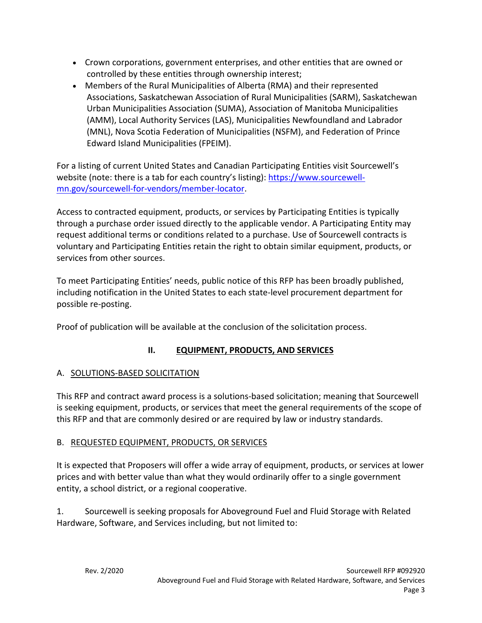- Crown corporations, government enterprises, and other entities that are owned or controlled by these entities through ownership interest;
- Members of the Rural Municipalities of Alberta (RMA) and their represented Associations, Saskatchewan Association of Rural Municipalities (SARM), Saskatchewan Urban Municipalities Association (SUMA), Association of Manitoba Municipalities (AMM), Local Authority Services (LAS), Municipalities Newfoundland and Labrador (MNL), Nova Scotia Federation of Municipalities (NSFM), and Federation of Prince Edward Island Municipalities (FPEIM).

For a listing of current United States and Canadian Participating Entities visit Sourcewell's website (note: there is a tab for each country's listing): https://www.sourcewellmn.gov/sourcewell‐for‐vendors/member‐locator.

Access to contracted equipment, products, or services by Participating Entities is typically through a purchase order issued directly to the applicable vendor. A Participating Entity may request additional terms or conditions related to a purchase. Use of Sourcewell contracts is voluntary and Participating Entities retain the right to obtain similar equipment, products, or services from other sources.

To meet Participating Entities' needs, public notice of this RFP has been broadly published, including notification in the United States to each state‐level procurement department for possible re‐posting.

Proof of publication will be available at the conclusion of the solicitation process.

## **II. EQUIPMENT, PRODUCTS, AND SERVICES**

## A. SOLUTIONS‐BASED SOLICITATION

This RFP and contract award process is a solutions‐based solicitation; meaning that Sourcewell is seeking equipment, products, or services that meet the general requirements of the scope of this RFP and that are commonly desired or are required by law or industry standards.

## B. REQUESTED EQUIPMENT, PRODUCTS, OR SERVICES

It is expected that Proposers will offer a wide array of equipment, products, or services at lower prices and with better value than what they would ordinarily offer to a single government entity, a school district, or a regional cooperative.

1. Sourcewell is seeking proposals for Aboveground Fuel and Fluid Storage with Related Hardware, Software, and Services including, but not limited to: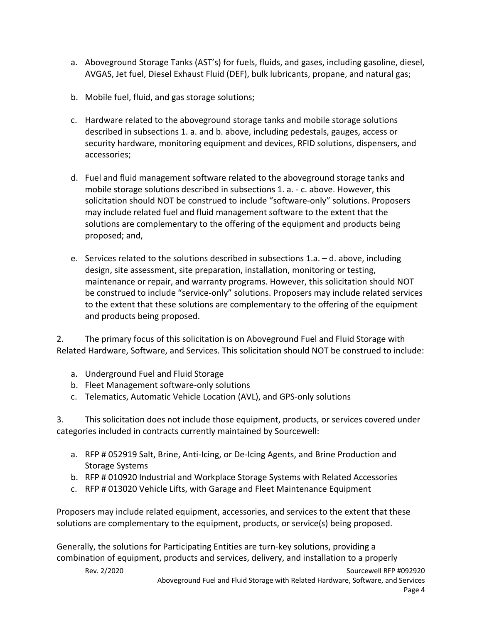- a. Aboveground Storage Tanks (AST's) for fuels, fluids, and gases, including gasoline, diesel, AVGAS, Jet fuel, Diesel Exhaust Fluid (DEF), bulk lubricants, propane, and natural gas;
- b. Mobile fuel, fluid, and gas storage solutions;
- c. Hardware related to the aboveground storage tanks and mobile storage solutions described in subsections 1. a. and b. above, including pedestals, gauges, access or security hardware, monitoring equipment and devices, RFID solutions, dispensers, and accessories;
- d. Fuel and fluid management software related to the aboveground storage tanks and mobile storage solutions described in subsections 1. a. ‐ c. above. However, this solicitation should NOT be construed to include "software‐only" solutions. Proposers may include related fuel and fluid management software to the extent that the solutions are complementary to the offering of the equipment and products being proposed; and,
- e. Services related to the solutions described in subsections 1.a. d. above, including design, site assessment, site preparation, installation, monitoring or testing, maintenance or repair, and warranty programs. However, this solicitation should NOT be construed to include "service-only" solutions. Proposers may include related services to the extent that these solutions are complementary to the offering of the equipment and products being proposed.

2. The primary focus of this solicitation is on Aboveground Fuel and Fluid Storage with Related Hardware, Software, and Services. This solicitation should NOT be construed to include:

- a. Underground Fuel and Fluid Storage
- b. Fleet Management software‐only solutions
- c. Telematics, Automatic Vehicle Location (AVL), and GPS‐only solutions

3. This solicitation does not include those equipment, products, or services covered under categories included in contracts currently maintained by Sourcewell:

- a. RFP # 052919 Salt, Brine, Anti‐Icing, or De‐Icing Agents, and Brine Production and Storage Systems
- b. RFP # 010920 Industrial and Workplace Storage Systems with Related Accessories
- c. RFP # 013020 Vehicle Lifts, with Garage and Fleet Maintenance Equipment

Proposers may include related equipment, accessories, and services to the extent that these solutions are complementary to the equipment, products, or service(s) being proposed.

Generally, the solutions for Participating Entities are turn‐key solutions, providing a combination of equipment, products and services, delivery, and installation to a properly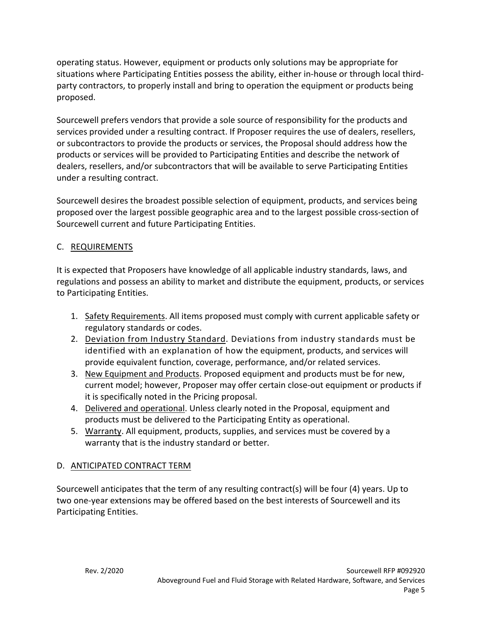operating status. However, equipment or products only solutions may be appropriate for situations where Participating Entities possess the ability, either in-house or through local thirdparty contractors, to properly install and bring to operation the equipment or products being proposed.

Sourcewell prefers vendors that provide a sole source of responsibility for the products and services provided under a resulting contract. If Proposer requires the use of dealers, resellers, or subcontractors to provide the products or services, the Proposal should address how the products or services will be provided to Participating Entities and describe the network of dealers, resellers, and/or subcontractors that will be available to serve Participating Entities under a resulting contract.

Sourcewell desires the broadest possible selection of equipment, products, and services being proposed over the largest possible geographic area and to the largest possible cross‐section of Sourcewell current and future Participating Entities.

## C. REQUIREMENTS

It is expected that Proposers have knowledge of all applicable industry standards, laws, and regulations and possess an ability to market and distribute the equipment, products, or services to Participating Entities.

- 1. Safety Requirements. All items proposed must comply with current applicable safety or regulatory standards or codes.
- 2. Deviation from Industry Standard. Deviations from industry standards must be identified with an explanation of how the equipment, products, and services will provide equivalent function, coverage, performance, and/or related services.
- 3. New Equipment and Products. Proposed equipment and products must be for new, current model; however, Proposer may offer certain close‐out equipment or products if it is specifically noted in the Pricing proposal.
- 4. Delivered and operational. Unless clearly noted in the Proposal, equipment and products must be delivered to the Participating Entity as operational.
- 5. Warranty. All equipment, products, supplies, and services must be covered by a warranty that is the industry standard or better.

## D. ANTICIPATED CONTRACT TERM

Sourcewell anticipates that the term of any resulting contract(s) will be four (4) years. Up to two one‐year extensions may be offered based on the best interests of Sourcewell and its Participating Entities.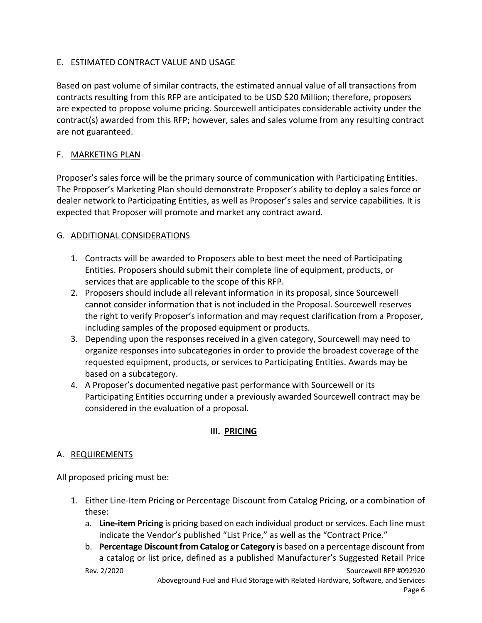## E. ESTIMATED CONTRACT VALUE AND USAGE

Based on past volume of similar contracts, the estimated annual value of all transactions from contracts resulting from this RFP are anticipated to be USD \$20 Million; therefore, proposers are expected to propose volume pricing. Sourcewell anticipates considerable activity under the contract(s) awarded from this RFP; however, sales and sales volume from any resulting contract are not guaranteed.

## F. MARKETING PLAN

Proposer's sales force will be the primary source of communication with Participating Entities. The Proposer's Marketing Plan should demonstrate Proposer's ability to deploy a sales force or dealer network to Participating Entities, as well as Proposer's sales and service capabilities. It is expected that Proposer will promote and market any contract award.

## G. ADDITIONAL CONSIDERATIONS

- 1. Contracts will be awarded to Proposers able to best meet the need of Participating Entities. Proposers should submit their complete line of equipment, products, or services that are applicable to the scope of this RFP.
- 2. Proposers should include all relevant information in its proposal, since Sourcewell cannot consider information that is not included in the Proposal. Sourcewell reserves the right to verify Proposer's information and may request clarification from a Proposer, including samples of the proposed equipment or products.
- 3. Depending upon the responses received in a given category, Sourcewell may need to organize responses into subcategories in order to provide the broadest coverage of the requested equipment, products, or services to Participating Entities. Awards may be based on a subcategory.
- 4. A Proposer's documented negative past performance with Sourcewell or its Participating Entities occurring under a previously awarded Sourcewell contract may be considered in the evaluation of a proposal.

## **III. PRICING**

## A. REQUIREMENTS

All proposed pricing must be:

- 1. Either Line‐Item Pricing or Percentage Discount from Catalog Pricing, or a combination of these:
	- a. **Line‐item Pricing** is pricing based on each individual product orservices**.** Each line must indicate the Vendor's published "List Price," as well as the "Contract Price."
	- b. **Percentage Discountfrom Catalog or Category** is based on a percentage discount from a catalog or list price, defined as a published Manufacturer's Suggested Retail Price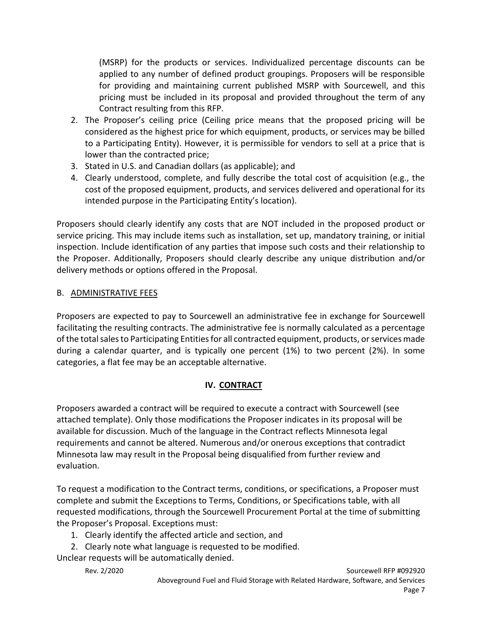(MSRP) for the products or services. Individualized percentage discounts can be applied to any number of defined product groupings. Proposers will be responsible for providing and maintaining current published MSRP with Sourcewell, and this pricing must be included in its proposal and provided throughout the term of any Contract resulting from this RFP.

- 2. The Proposer's ceiling price (Ceiling price means that the proposed pricing will be considered as the highest price for which equipment, products, or services may be billed to a Participating Entity). However, it is permissible for vendors to sell at a price that is lower than the contracted price;
- 3. Stated in U.S. and Canadian dollars (as applicable); and
- 4. Clearly understood, complete, and fully describe the total cost of acquisition (e.g., the cost of the proposed equipment, products, and services delivered and operational for its intended purpose in the Participating Entity's location).

Proposers should clearly identify any costs that are NOT included in the proposed product or service pricing. This may include items such as installation, set up, mandatory training, or initial inspection. Include identification of any parties that impose such costs and their relationship to the Proposer. Additionally, Proposers should clearly describe any unique distribution and/or delivery methods or options offered in the Proposal.

## B. ADMINISTRATIVE FEES

Proposers are expected to pay to Sourcewell an administrative fee in exchange for Sourcewell facilitating the resulting contracts. The administrative fee is normally calculated as a percentage of the total sales to Participating Entities for all contracted equipment, products, or services made during a calendar quarter, and is typically one percent (1%) to two percent (2%). In some categories, a flat fee may be an acceptable alternative.

## **IV. CONTRACT**

Proposers awarded a contract will be required to execute a contract with Sourcewell (see attached template). Only those modifications the Proposer indicates in its proposal will be available for discussion. Much of the language in the Contract reflects Minnesota legal requirements and cannot be altered. Numerous and/or onerous exceptions that contradict Minnesota law may result in the Proposal being disqualified from further review and evaluation.

To request a modification to the Contract terms, conditions, or specifications, a Proposer must complete and submit the Exceptions to Terms, Conditions, or Specifications table, with all requested modifications, through the Sourcewell Procurement Portal at the time of submitting the Proposer's Proposal. Exceptions must:

- 1. Clearly identify the affected article and section, and
- 2. Clearly note what language is requested to be modified.

Unclear requests will be automatically denied.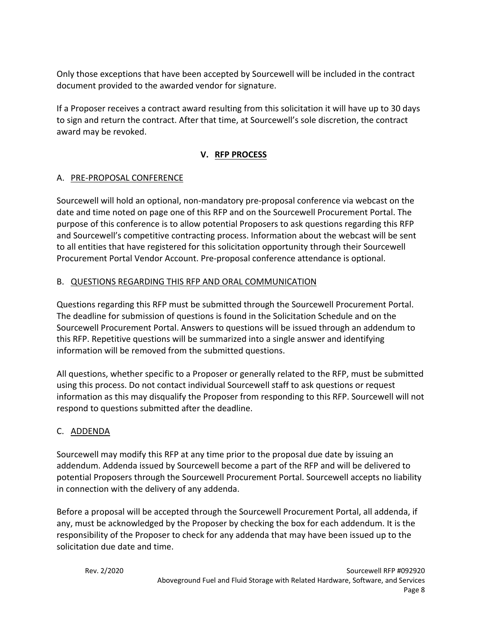Only those exceptions that have been accepted by Sourcewell will be included in the contract document provided to the awarded vendor for signature.

If a Proposer receives a contract award resulting from this solicitation it will have up to 30 days to sign and return the contract. After that time, at Sourcewell's sole discretion, the contract award may be revoked.

## **V. RFP PROCESS**

## A. PRE‐PROPOSAL CONFERENCE

Sourcewell will hold an optional, non‐mandatory pre‐proposal conference via webcast on the date and time noted on page one of this RFP and on the Sourcewell Procurement Portal. The purpose of this conference is to allow potential Proposers to ask questions regarding this RFP and Sourcewell's competitive contracting process. Information about the webcast will be sent to all entities that have registered for this solicitation opportunity through their Sourcewell Procurement Portal Vendor Account. Pre‐proposal conference attendance is optional.

## B. QUESTIONS REGARDING THIS RFP AND ORAL COMMUNICATION

Questions regarding this RFP must be submitted through the Sourcewell Procurement Portal. The deadline for submission of questions is found in the Solicitation Schedule and on the Sourcewell Procurement Portal. Answers to questions will be issued through an addendum to this RFP. Repetitive questions will be summarized into a single answer and identifying information will be removed from the submitted questions.

All questions, whether specific to a Proposer or generally related to the RFP, must be submitted using this process. Do not contact individual Sourcewell staff to ask questions or request information as this may disqualify the Proposer from responding to this RFP. Sourcewell will not respond to questions submitted after the deadline.

## C. ADDENDA

Sourcewell may modify this RFP at any time prior to the proposal due date by issuing an addendum. Addenda issued by Sourcewell become a part of the RFP and will be delivered to potential Proposers through the Sourcewell Procurement Portal. Sourcewell accepts no liability in connection with the delivery of any addenda.

Before a proposal will be accepted through the Sourcewell Procurement Portal, all addenda, if any, must be acknowledged by the Proposer by checking the box for each addendum. It is the responsibility of the Proposer to check for any addenda that may have been issued up to the solicitation due date and time.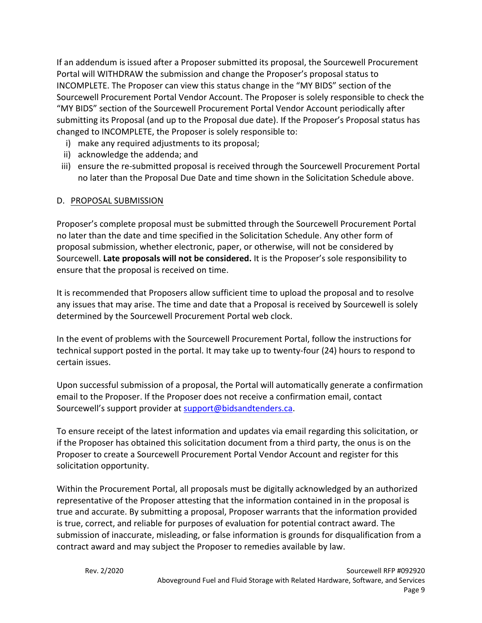If an addendum is issued after a Proposer submitted its proposal, the Sourcewell Procurement Portal will WITHDRAW the submission and change the Proposer's proposal status to INCOMPLETE. The Proposer can view this status change in the "MY BIDS" section of the Sourcewell Procurement Portal Vendor Account. The Proposer is solely responsible to check the "MY BIDS" section of the Sourcewell Procurement Portal Vendor Account periodically after submitting its Proposal (and up to the Proposal due date). If the Proposer's Proposal status has changed to INCOMPLETE, the Proposer is solely responsible to:

- i) make any required adjustments to its proposal;
- ii) acknowledge the addenda; and
- iii) ensure the re‐submitted proposal is received through the Sourcewell Procurement Portal no later than the Proposal Due Date and time shown in the Solicitation Schedule above.

## D. PROPOSAL SUBMISSION

Proposer's complete proposal must be submitted through the Sourcewell Procurement Portal no later than the date and time specified in the Solicitation Schedule. Any other form of proposal submission, whether electronic, paper, or otherwise, will not be considered by Sourcewell. **Late proposals will not be considered.** It is the Proposer's sole responsibility to ensure that the proposal is received on time.

It is recommended that Proposers allow sufficient time to upload the proposal and to resolve any issues that may arise. The time and date that a Proposal is received by Sourcewell is solely determined by the Sourcewell Procurement Portal web clock.

In the event of problems with the Sourcewell Procurement Portal, follow the instructions for technical support posted in the portal. It may take up to twenty‐four (24) hours to respond to certain issues.

Upon successful submission of a proposal, the Portal will automatically generate a confirmation email to the Proposer. If the Proposer does not receive a confirmation email, contact Sourcewell's support provider at support@bidsandtenders.ca.

To ensure receipt of the latest information and updates via email regarding this solicitation, or if the Proposer has obtained this solicitation document from a third party, the onus is on the Proposer to create a Sourcewell Procurement Portal Vendor Account and register for this solicitation opportunity.

Within the Procurement Portal, all proposals must be digitally acknowledged by an authorized representative of the Proposer attesting that the information contained in in the proposal is true and accurate. By submitting a proposal, Proposer warrants that the information provided is true, correct, and reliable for purposes of evaluation for potential contract award. The submission of inaccurate, misleading, or false information is grounds for disqualification from a contract award and may subject the Proposer to remedies available by law.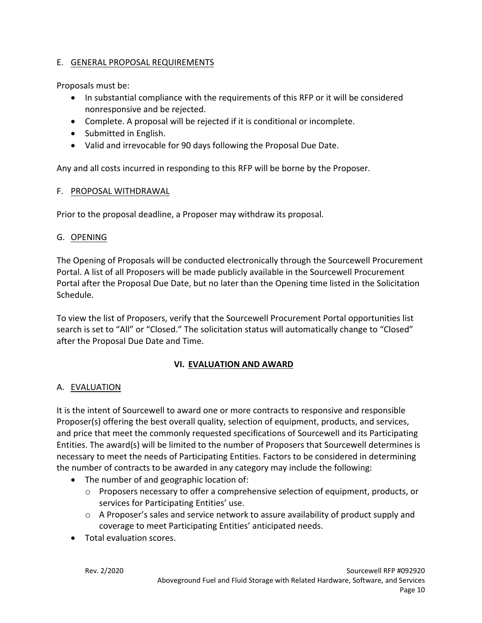## E. GENERAL PROPOSAL REQUIREMENTS

Proposals must be:

- In substantial compliance with the requirements of this RFP or it will be considered nonresponsive and be rejected.
- Complete. A proposal will be rejected if it is conditional or incomplete.
- Submitted in English.
- Valid and irrevocable for 90 days following the Proposal Due Date.

Any and all costs incurred in responding to this RFP will be borne by the Proposer.

## F. PROPOSAL WITHDRAWAL

Prior to the proposal deadline, a Proposer may withdraw its proposal.

## G. OPENING

The Opening of Proposals will be conducted electronically through the Sourcewell Procurement Portal. A list of all Proposers will be made publicly available in the Sourcewell Procurement Portal after the Proposal Due Date, but no later than the Opening time listed in the Solicitation Schedule.

To view the list of Proposers, verify that the Sourcewell Procurement Portal opportunities list search is set to "All" or "Closed." The solicitation status will automatically change to "Closed" after the Proposal Due Date and Time.

## **VI. EVALUATION AND AWARD**

## A. EVALUATION

It is the intent of Sourcewell to award one or more contracts to responsive and responsible Proposer(s) offering the best overall quality, selection of equipment, products, and services, and price that meet the commonly requested specifications of Sourcewell and its Participating Entities. The award(s) will be limited to the number of Proposers that Sourcewell determines is necessary to meet the needs of Participating Entities. Factors to be considered in determining the number of contracts to be awarded in any category may include the following:

- The number of and geographic location of:
	- $\circ$  Proposers necessary to offer a comprehensive selection of equipment, products, or services for Participating Entities' use.
	- $\circ$  A Proposer's sales and service network to assure availability of product supply and coverage to meet Participating Entities' anticipated needs.
- Total evaluation scores.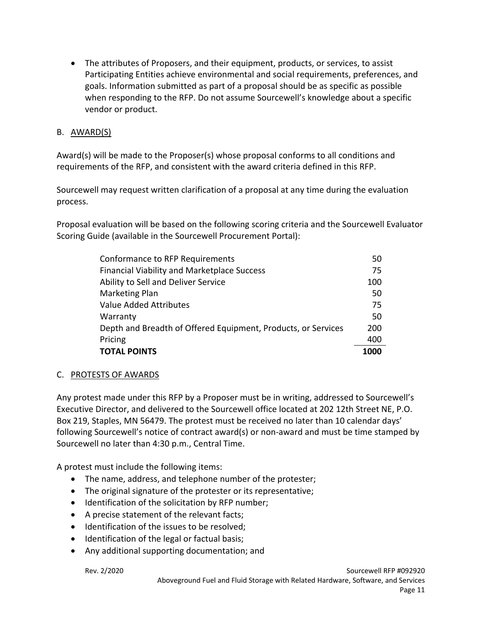The attributes of Proposers, and their equipment, products, or services, to assist Participating Entities achieve environmental and social requirements, preferences, and goals. Information submitted as part of a proposal should be as specific as possible when responding to the RFP. Do not assume Sourcewell's knowledge about a specific vendor or product.

## B. AWARD(S)

Award(s) will be made to the Proposer(s) whose proposal conforms to all conditions and requirements of the RFP, and consistent with the award criteria defined in this RFP.

Sourcewell may request written clarification of a proposal at any time during the evaluation process.

Proposal evaluation will be based on the following scoring criteria and the Sourcewell Evaluator Scoring Guide (available in the Sourcewell Procurement Portal):

| Conformance to RFP Requirements                               |      |
|---------------------------------------------------------------|------|
| <b>Financial Viability and Marketplace Success</b>            | 75   |
| Ability to Sell and Deliver Service                           | 100  |
| Marketing Plan                                                | 50   |
| Value Added Attributes                                        | 75   |
| Warranty                                                      | 50   |
| Depth and Breadth of Offered Equipment, Products, or Services | 200  |
| Pricing                                                       | 400  |
| <b>TOTAL POINTS</b>                                           | 1000 |

## C. PROTESTS OF AWARDS

Any protest made under this RFP by a Proposer must be in writing, addressed to Sourcewell's Executive Director, and delivered to the Sourcewell office located at 202 12th Street NE, P.O. Box 219, Staples, MN 56479. The protest must be received no later than 10 calendar days' following Sourcewell's notice of contract award(s) or non-award and must be time stamped by Sourcewell no later than 4:30 p.m., Central Time.

A protest must include the following items:

- The name, address, and telephone number of the protester;
- The original signature of the protester or its representative;
- Identification of the solicitation by RFP number;
- A precise statement of the relevant facts;
- Identification of the issues to be resolved;
- Identification of the legal or factual basis;
- Any additional supporting documentation; and

Rev. 2/2020 Sourcewell RFP #092920 Aboveground Fuel and Fluid Storage with Related Hardware, Software, and Services Page 11 and the state of the state of the state of the state of the state of the state of the state of the state of the state of the state of the state of the state of the state of the state of the state of the state of th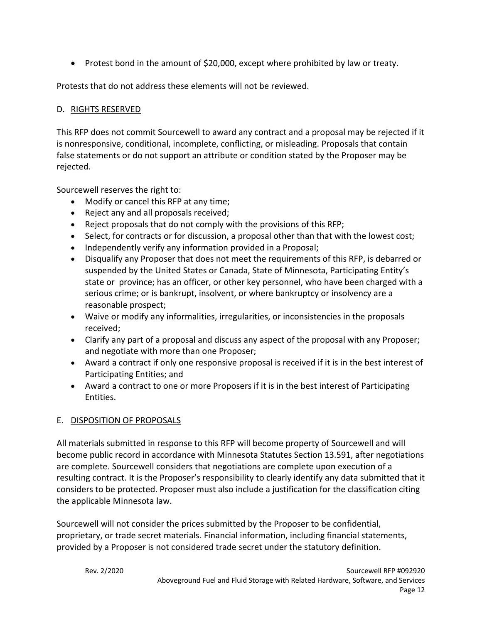• Protest bond in the amount of \$20,000, except where prohibited by law or treaty.

Protests that do not address these elements will not be reviewed.

## D. RIGHTS RESERVED

This RFP does not commit Sourcewell to award any contract and a proposal may be rejected if it is nonresponsive, conditional, incomplete, conflicting, or misleading. Proposals that contain false statements or do not support an attribute or condition stated by the Proposer may be rejected.

Sourcewell reserves the right to:

- Modify or cancel this RFP at any time;
- Reject any and all proposals received;
- Reject proposals that do not comply with the provisions of this RFP;
- Select, for contracts or for discussion, a proposal other than that with the lowest cost;
- Independently verify any information provided in a Proposal;
- Disqualify any Proposer that does not meet the requirements of this RFP, is debarred or suspended by the United States or Canada, State of Minnesota, Participating Entity's state or province; has an officer, or other key personnel, who have been charged with a serious crime; or is bankrupt, insolvent, or where bankruptcy or insolvency are a reasonable prospect;
- Waive or modify any informalities, irregularities, or inconsistencies in the proposals received;
- Clarify any part of a proposal and discuss any aspect of the proposal with any Proposer; and negotiate with more than one Proposer;
- Award a contract if only one responsive proposal is received if it is in the best interest of Participating Entities; and
- Award a contract to one or more Proposers if it is in the best interest of Participating Entities.

## E. DISPOSITION OF PROPOSALS

All materials submitted in response to this RFP will become property of Sourcewell and will become public record in accordance with Minnesota Statutes Section 13.591, after negotiations are complete. Sourcewell considers that negotiations are complete upon execution of a resulting contract. It is the Proposer's responsibility to clearly identify any data submitted that it considers to be protected. Proposer must also include a justification for the classification citing the applicable Minnesota law.

Sourcewell will not consider the prices submitted by the Proposer to be confidential, proprietary, or trade secret materials. Financial information, including financial statements, provided by a Proposer is not considered trade secret under the statutory definition.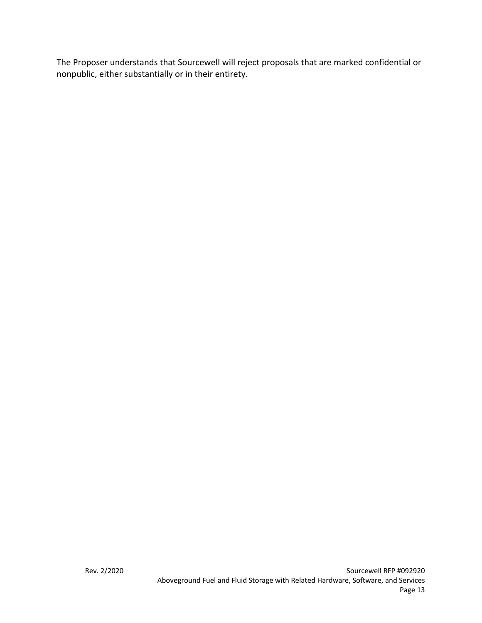The Proposer understands that Sourcewell will reject proposals that are marked confidential or nonpublic, either substantially or in their entirety.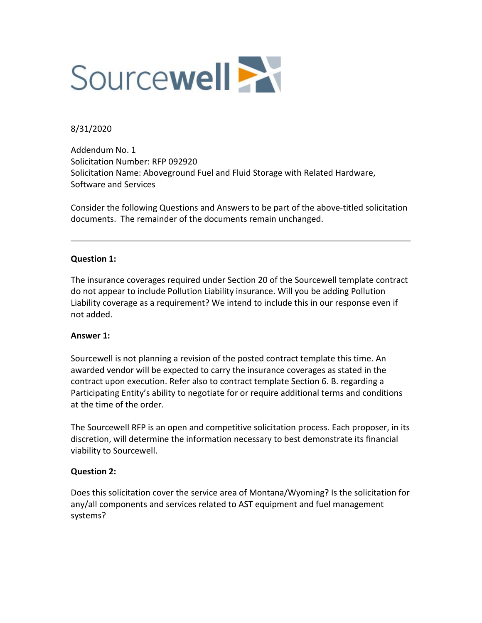

## 8/31/2020

Addendum No. 1 Solicitation Number: RFP 092920 Solicitation Name: Aboveground Fuel and Fluid Storage with Related Hardware, Software and Services

Consider the following Questions and Answers to be part of the above-titled solicitation documents. The remainder of the documents remain unchanged.

### **Question 1:**

The insurance coverages required under Section 20 of the Sourcewell template contract do not appear to include Pollution Liability insurance. Will you be adding Pollution Liability coverage as a requirement? We intend to include this in our response even if not added.

#### **Answer 1:**

Sourcewell is not planning a revision of the posted contract template this time. An awarded vendor will be expected to carry the insurance coverages as stated in the contract upon execution. Refer also to contract template Section 6. B. regarding a Participating Entity's ability to negotiate for or require additional terms and conditions at the time of the order.

The Sourcewell RFP is an open and competitive solicitation process. Each proposer, in its discretion, will determine the information necessary to best demonstrate its financial viability to Sourcewell.

#### **Question 2:**

Does this solicitation cover the service area of Montana/Wyoming? Is the solicitation for any/all components and services related to AST equipment and fuel management systems?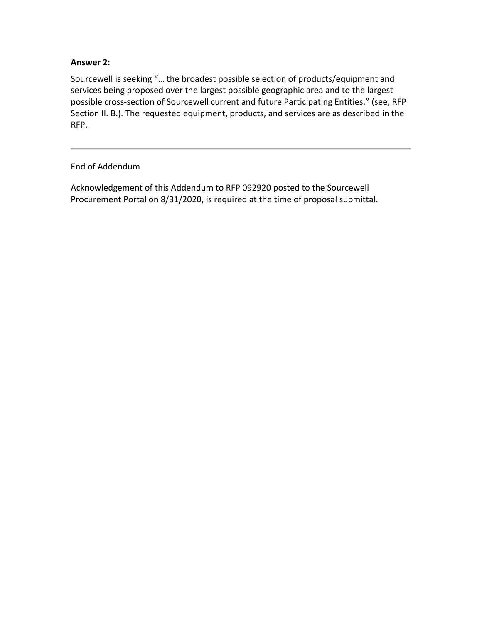## **Answer 2:**

Sourcewell is seeking "… the broadest possible selection of products/equipment and services being proposed over the largest possible geographic area and to the largest possible cross-section of Sourcewell current and future Participating Entities." (see, RFP Section II. B.). The requested equipment, products, and services are as described in the RFP.

## End of Addendum

Acknowledgement of this Addendum to RFP 092920 posted to the Sourcewell Procurement Portal on 8/31/2020, is required at the time of proposal submittal.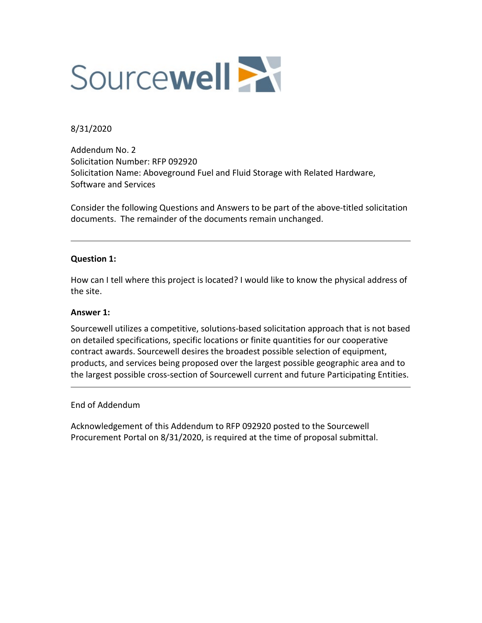

### 8/31/2020

Addendum No. 2 Solicitation Number: RFP 092920 Solicitation Name: Aboveground Fuel and Fluid Storage with Related Hardware, Software and Services

Consider the following Questions and Answers to be part of the above-titled solicitation documents. The remainder of the documents remain unchanged.

### **Question 1:**

How can I tell where this project is located? I would like to know the physical address of the site.

#### **Answer 1:**

Sourcewell utilizes a competitive, solutions-based solicitation approach that is not based on detailed specifications, specific locations or finite quantities for our cooperative contract awards. Sourcewell desires the broadest possible selection of equipment, products, and services being proposed over the largest possible geographic area and to the largest possible cross-section of Sourcewell current and future Participating Entities.

#### End of Addendum

Acknowledgement of this Addendum to RFP 092920 posted to the Sourcewell Procurement Portal on 8/31/2020, is required at the time of proposal submittal.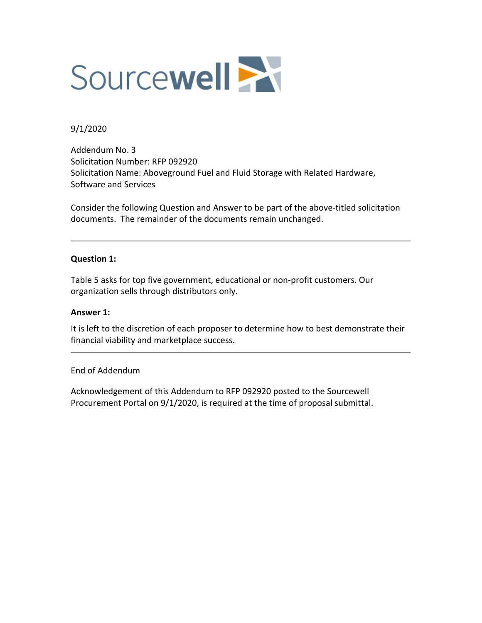

### 9/1/2020

Addendum No. 3 Solicitation Number: RFP 092920 Solicitation Name: Aboveground Fuel and Fluid Storage with Related Hardware, Software and Services

Consider the following Question and Answer to be part of the above-titled solicitation documents. The remainder of the documents remain unchanged.

### **Question 1:**

Table 5 asks for top five government, educational or non-profit customers. Our organization sells through distributors only.

#### **Answer 1:**

It is left to the discretion of each proposer to determine how to best demonstrate their financial viability and marketplace success.

#### End of Addendum

Acknowledgement of this Addendum to RFP 092920 posted to the Sourcewell Procurement Portal on 9/1/2020, is required at the time of proposal submittal.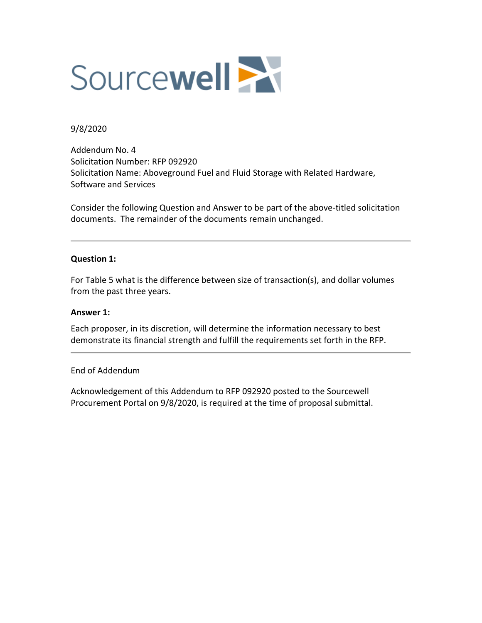

#### 9/8/2020

Addendum No. 4 Solicitation Number: RFP 092920 Solicitation Name: Aboveground Fuel and Fluid Storage with Related Hardware, Software and Services

Consider the following Question and Answer to be part of the above‐titled solicitation documents. The remainder of the documents remain unchanged.

#### **Question 1:**

For Table 5 what is the difference between size of transaction(s), and dollar volumes from the past three years.

#### **Answer 1:**

Each proposer, in its discretion, will determine the information necessary to best demonstrate its financial strength and fulfill the requirements set forth in the RFP.

#### End of Addendum

Acknowledgement of this Addendum to RFP 092920 posted to the Sourcewell Procurement Portal on 9/8/2020, is required at the time of proposal submittal.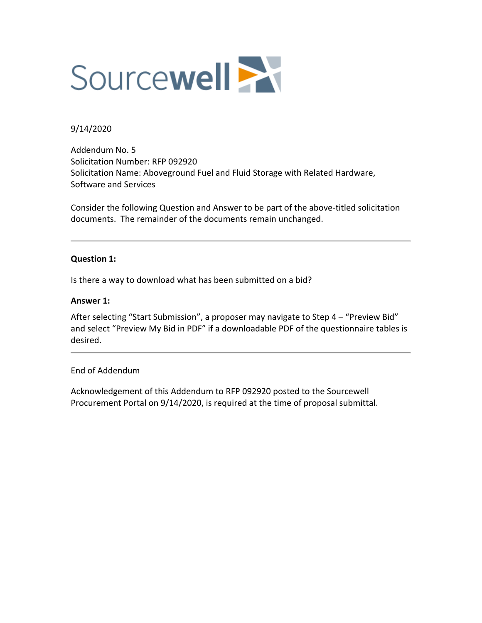

### 9/14/2020

Addendum No. 5 Solicitation Number: RFP 092920 Solicitation Name: Aboveground Fuel and Fluid Storage with Related Hardware, Software and Services

Consider the following Question and Answer to be part of the above‐titled solicitation documents. The remainder of the documents remain unchanged.

### **Question 1:**

Is there a way to download what has been submitted on a bid?

#### **Answer 1:**

After selecting "Start Submission", a proposer may navigate to Step 4 – "Preview Bid" and select "Preview My Bid in PDF" if a downloadable PDF of the questionnaire tables is desired.

### End of Addendum

Acknowledgement of this Addendum to RFP 092920 posted to the Sourcewell Procurement Portal on 9/14/2020, is required at the time of proposal submittal.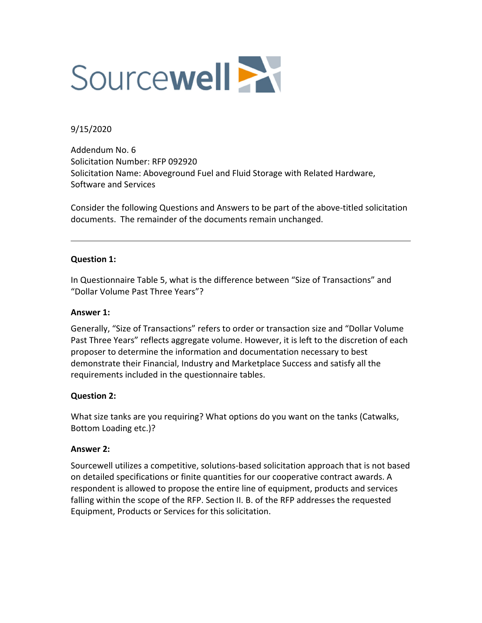

## 9/15/2020

Addendum No. 6 Solicitation Number: RFP 092920 Solicitation Name: Aboveground Fuel and Fluid Storage with Related Hardware, Software and Services

Consider the following Questions and Answers to be part of the above‐titled solicitation documents. The remainder of the documents remain unchanged.

### **Question 1:**

In Questionnaire Table 5, what is the difference between "Size of Transactions" and "Dollar Volume Past Three Years"?

### **Answer 1:**

Generally, "Size of Transactions" refers to order or transaction size and "Dollar Volume Past Three Years" reflects aggregate volume. However, it is left to the discretion of each proposer to determine the information and documentation necessary to best demonstrate their Financial, Industry and Marketplace Success and satisfy all the requirements included in the questionnaire tables.

### **Question 2:**

What size tanks are you requiring? What options do you want on the tanks (Catwalks, Bottom Loading etc.)?

### **Answer 2:**

Sourcewell utilizes a competitive, solutions‐based solicitation approach that is not based on detailed specifications or finite quantities for our cooperative contract awards. A respondent is allowed to propose the entire line of equipment, products and services falling within the scope of the RFP. Section II. B. of the RFP addresses the requested Equipment, Products or Services for this solicitation.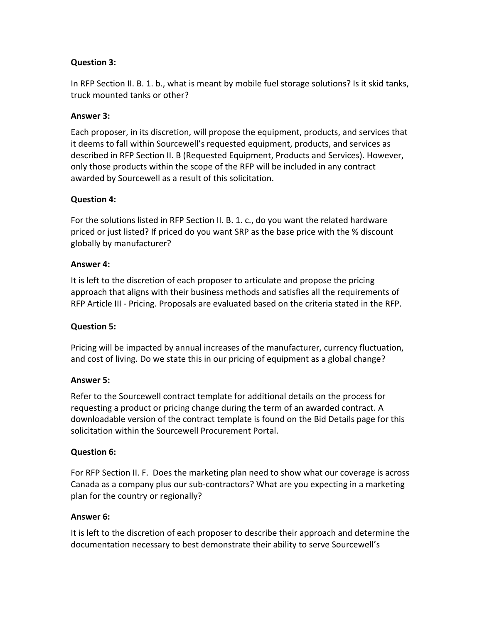## **Question 3:**

In RFP Section II. B. 1. b., what is meant by mobile fuel storage solutions? Is it skid tanks, truck mounted tanks or other?

## **Answer 3:**

Each proposer, in its discretion, will propose the equipment, products, and services that it deems to fall within Sourcewell's requested equipment, products, and services as described in RFP Section II. B (Requested Equipment, Products and Services). However, only those products within the scope of the RFP will be included in any contract awarded by Sourcewell as a result of this solicitation.

## **Question 4:**

For the solutions listed in RFP Section II. B. 1. c., do you want the related hardware priced or just listed? If priced do you want SRP as the base price with the % discount globally by manufacturer?

### **Answer 4:**

It is left to the discretion of each proposer to articulate and propose the pricing approach that aligns with their business methods and satisfies all the requirements of RFP Article III ‐ Pricing. Proposals are evaluated based on the criteria stated in the RFP.

### **Question 5:**

Pricing will be impacted by annual increases of the manufacturer, currency fluctuation, and cost of living. Do we state this in our pricing of equipment as a global change?

### **Answer 5:**

Refer to the Sourcewell contract template for additional details on the process for requesting a product or pricing change during the term of an awarded contract. A downloadable version of the contract template is found on the Bid Details page for this solicitation within the Sourcewell Procurement Portal.

### **Question 6:**

For RFP Section II. F. Does the marketing plan need to show what our coverage is across Canada as a company plus our sub‐contractors? What are you expecting in a marketing plan for the country or regionally?

### **Answer 6:**

It is left to the discretion of each proposer to describe their approach and determine the documentation necessary to best demonstrate their ability to serve Sourcewell's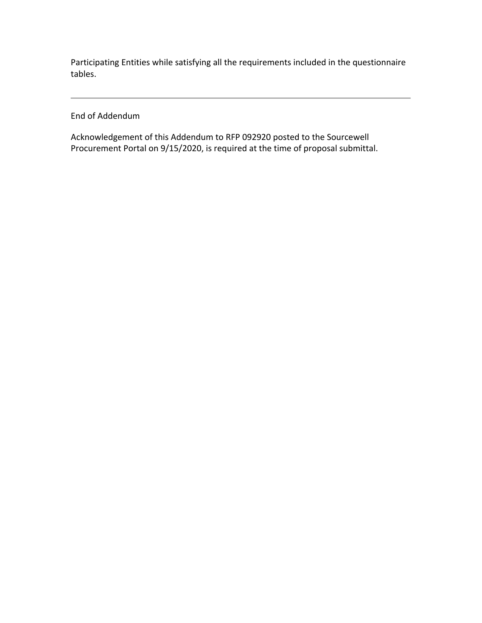Participating Entities while satisfying all the requirements included in the questionnaire tables.

End of Addendum

Acknowledgement of this Addendum to RFP 092920 posted to the Sourcewell Procurement Portal on 9/15/2020, is required at the time of proposal submittal.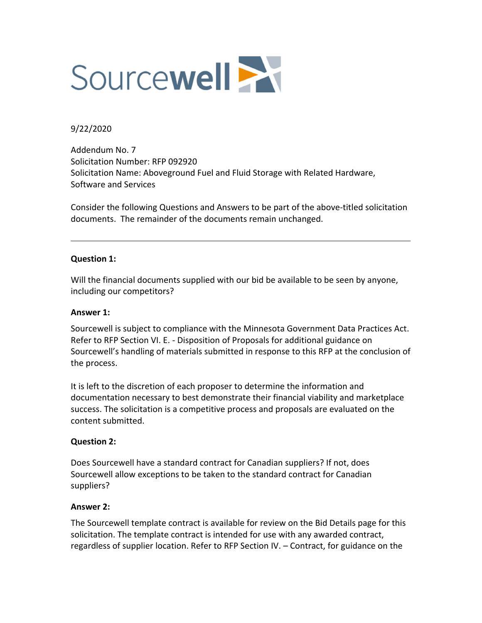

### 9/22/2020

Addendum No. 7 Solicitation Number: RFP 092920 Solicitation Name: Aboveground Fuel and Fluid Storage with Related Hardware, Software and Services

Consider the following Questions and Answers to be part of the above‐titled solicitation documents. The remainder of the documents remain unchanged.

### **Question 1:**

Will the financial documents supplied with our bid be available to be seen by anyone, including our competitors?

#### **Answer 1:**

Sourcewell is subject to compliance with the Minnesota Government Data Practices Act. Refer to RFP Section VI. E. ‐ Disposition of Proposals for additional guidance on Sourcewell's handling of materials submitted in response to this RFP at the conclusion of the process.

It is left to the discretion of each proposer to determine the information and documentation necessary to best demonstrate their financial viability and marketplace success. The solicitation is a competitive process and proposals are evaluated on the content submitted.

### **Question 2:**

Does Sourcewell have a standard contract for Canadian suppliers? If not, does Sourcewell allow exceptions to be taken to the standard contract for Canadian suppliers?

#### **Answer 2:**

The Sourcewell template contract is available for review on the Bid Details page for this solicitation. The template contract is intended for use with any awarded contract, regardless of supplier location. Refer to RFP Section IV. – Contract, for guidance on the